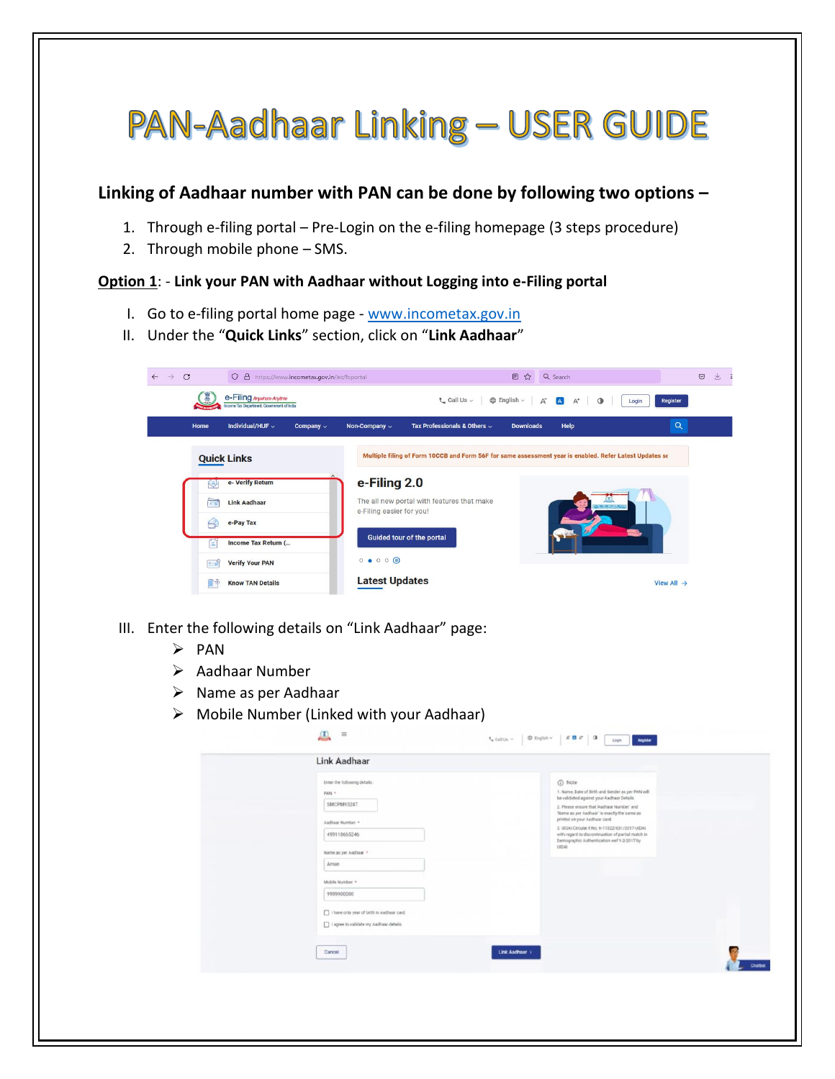# **PAN-Aadhaar Linking - USER GUIDE**

## **Linking of Aadhaar number with PAN can be done by following two options –**

- 1. Through e-filing portal Pre-Login on the e-filing homepage (3 steps procedure)
- 2. Through mobile phone SMS.

#### **Option 1**: - **Link your PAN with Aadhaar without Logging into e-Filing portal**

- I. Go to e-filing portal home page [www.incometax.gov.in](http://www.incometax.gov.in/)
- II. Under the "**Quick Links**" section, click on "**Link Aadhaar**"

| $\mathcal{C}$<br>O & https://www.incometax.gov.in/iec/foportal<br>$\leftarrow$ $\rightarrow$ | 目☆<br>Q Search                                                                                                         | 上<br>$\odot$ |
|----------------------------------------------------------------------------------------------|------------------------------------------------------------------------------------------------------------------------|--------------|
| e-Filing Anywhere Anytime<br>Income Tax Department, Government of India                      | $\oplus$ English $\vee$<br>$C$ Call Us $\sim$<br>A<br>Register<br>$\blacksquare$<br>$\mathbb{A}^*$<br>$\circ$<br>Login |              |
| Individual/HUF ~<br>Home<br>Company $\sim$                                                   | <b>Q</b><br>Tax Professionals & Others $\sim$<br>Help<br>Non-Company v<br><b>Downloads</b>                             |              |
| <b>Quick Links</b>                                                                           | Multiple filing of Form 10CCB and Form 56F for same assessment year is enabled. Refer Latest Updates se                |              |
| e- Verify Return<br>ے                                                                        | e-Filing 2.0                                                                                                           |              |
| <b>Link Aadhaar</b><br>$\overline{1}$                                                        | The all new portal with features that make<br>e-Filing easier for you!                                                 |              |
| e-Pay Tax                                                                                    |                                                                                                                        |              |
| Income Tax Return (<br>e                                                                     | Guided tour of the portal                                                                                              |              |
| <b>Verify Your PAN</b><br><b>BEST</b>                                                        | $\circ\bullet\circ\circ\circ\bullet$                                                                                   |              |
| <b>Know TAN Details</b><br>n (                                                               | <b>Latest Updates</b><br>View All $\rightarrow$                                                                        |              |

- III. Enter the following details on "Link Aadhaar" page:
	- ➢ PAN
	- ➢ Aadhaar Number
	- ➢ Name as per Aadhaar
	- $\triangleright$  Mobile Number (Linked with your Aadhaar)

| Link Aadhaar                                                                                                                                                                                                                                         |                                                                                                                                                                                                                                                                                                                                                                                                                      |                |
|------------------------------------------------------------------------------------------------------------------------------------------------------------------------------------------------------------------------------------------------------|----------------------------------------------------------------------------------------------------------------------------------------------------------------------------------------------------------------------------------------------------------------------------------------------------------------------------------------------------------------------------------------------------------------------|----------------|
| Enter the following details:<br>PAN *<br>SMCPM9324T<br>Aadhaar Number +<br>499118665246<br>Name as per Aadhaar *<br>Aman<br>Mobile Number 4<br>9999900000<br>["] I have only year of birth in Aadhaar card<br>I agree to validate my Aadhaar details | <b>D</b> Note<br>1. Name, Date of Birth and Gender as per PAN will<br>be validated against your Aadhaar Details<br>2. Please ensure that 'Aadhaar Number' and<br>'Name as per Aadhaar' is exactly the same as<br>printed on your Aadhaar card.<br>3. UIDAI Circular F.No. N-11022/631/2017-UIDAI<br>with regard to discontinuation of partial match in<br>Demographic Authentication wef 1-2-2017 by<br><b>UIDAI</b> |                |
| Cancel                                                                                                                                                                                                                                               | Link Audhaur >                                                                                                                                                                                                                                                                                                                                                                                                       | <b>Chatbot</b> |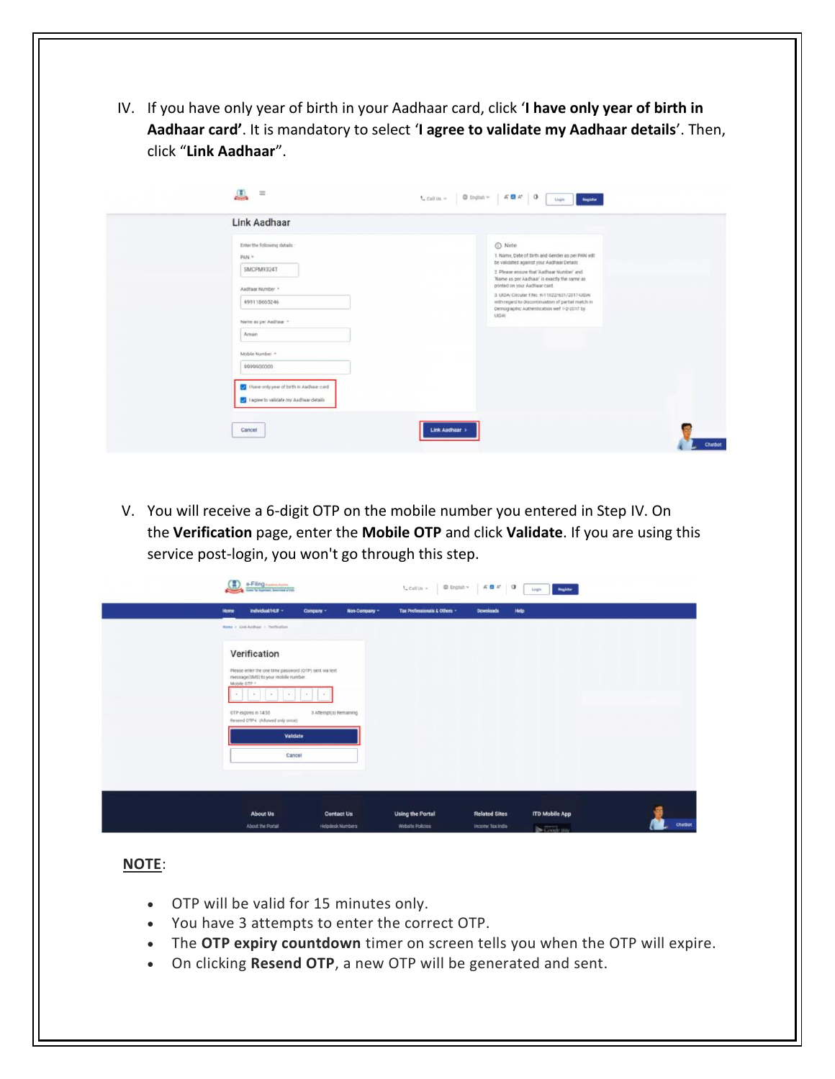IV. If you have only year of birth in your Aadhaar card, click '**I have only year of birth in Aadhaar card'**. It is mandatory to select '**I agree to validate my Aadhaar details**'. Then, click "**Link Aadhaar**".

| Link Aadhaar                                                                                                                                                                                                                                     |                                                                                                                                                                                                                                                                                                                                                                                                          |  |
|--------------------------------------------------------------------------------------------------------------------------------------------------------------------------------------------------------------------------------------------------|----------------------------------------------------------------------------------------------------------------------------------------------------------------------------------------------------------------------------------------------------------------------------------------------------------------------------------------------------------------------------------------------------------|--|
| Enter the following details:<br>PAN *<br>SMCPM9324T<br>Aadhaar Number *<br>499118665246<br>Name as per Aadhaar =<br>Arnan<br>Mobile Number *<br>9999900000<br>There only year of birth in Aadhaar card<br>1 agree to validate my Aadhaar details | O Note<br>1. Name, Date of Birth and Gender as per PAN will<br>be validated against your Aadhaar Details<br>2. Please ensure that 'Aadhaar Number' and<br>'Name as per Aadhaar' is exactly the same as<br>printed on your Aadhaar card.<br>3. UEJAI Circular F.No. K-11022/631/2017-UIDAI<br>with regard to discontinuation of partial match in<br>Demographic Authentication well 1-2-2017 by<br>LIIDAL |  |

V. You will receive a 6-digit OTP on the mobile number you entered in Step IV. On the **Verification** page, enter the **Mobile OTP** and click **Validate**. If you are using this service post-login, you won't go through this step.

| e-Filing summaring<br>$\tau_{\bullet}$ call $u_1 =$ $\begin{bmatrix} 0 & \text{length} \times \\ 0 & 1 \end{bmatrix}$ $\begin{bmatrix} 0 & \text{if} \\ 0 & 1 \end{bmatrix}$<br>Register<br>Lagin                                                                           |
|-----------------------------------------------------------------------------------------------------------------------------------------------------------------------------------------------------------------------------------------------------------------------------|
| Help<br><b>Tax Professionals &amp; Others -</b><br>Individual/HUF -<br>Non-Company -<br><b>Downloads</b><br>Home<br>Company -                                                                                                                                               |
| Home > Link Aadhaar > Verification                                                                                                                                                                                                                                          |
| Verification<br>Please enter the one time password (OTP) sent via text<br>message(SMS) to your mobile number.<br>Mobile OTP +<br>$\sim$<br>$\sim$<br>A.<br>$\sim$<br>$\sim$<br>$\sim$<br>3. Attempt(s) Remaining<br>OTP exports in 14:55<br>Resend OTP4 (Allowed only once) |
| Validate<br>Cancel                                                                                                                                                                                                                                                          |
|                                                                                                                                                                                                                                                                             |
| <b>Related Sites</b><br><b>ITD Mobile App</b><br><b>About Us</b><br><b>Using the Portal</b><br><b>Contact Us</b>                                                                                                                                                            |
| Chatbot<br>Helpdesk Numbers<br>Webuite Policies<br>About the Portal<br>Income Tax India<br>$\triangleright$ Google piny                                                                                                                                                     |

### **NOTE**:

- OTP will be valid for 15 minutes only.
- You have 3 attempts to enter the correct OTP.
- The **OTP expiry countdown** timer on screen tells you when the OTP will expire.
- On clicking **Resend OTP**, a new OTP will be generated and sent.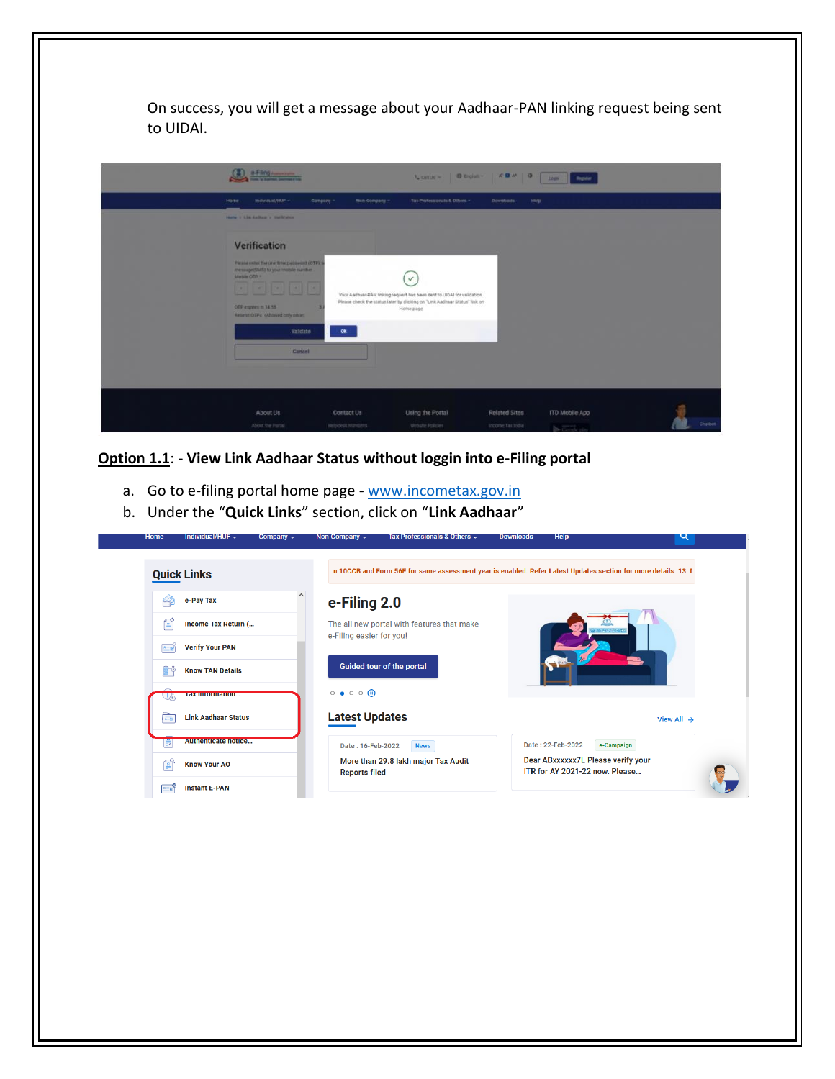On success, you will get a message about your Aadhaar-PAN linking request being sent to UIDAI.

| a-Filing                                                                                                                                                                                                                                     |                                 |                                                                                                                                                                                    | $L$ calls $=$ $0$ belon- $K$ <b>B</b> $M$   0 | Register<br><b>Logic</b>            |        |
|----------------------------------------------------------------------------------------------------------------------------------------------------------------------------------------------------------------------------------------------|---------------------------------|------------------------------------------------------------------------------------------------------------------------------------------------------------------------------------|-----------------------------------------------|-------------------------------------|--------|
| individual/HUF -<br><b>Home</b>                                                                                                                                                                                                              | Non-Company -<br>Company -      | Tax Professionals & Others. -                                                                                                                                                      | Downloads:<br>Help                            |                                     |        |
| Home: I Live Auditor: I melitures -                                                                                                                                                                                                          |                                 |                                                                                                                                                                                    |                                               |                                     |        |
| Verification<br>Please enter the one time password (OTP) is<br>message(SMS) to your mobile number.<br>Mobile OTP =<br><b>Real Property Control Property</b><br>OTP expires in 14.55<br>Resend OTP4 (Allowed only once)<br>Validate<br>Cancel | ok                              | $\checkmark$<br>Your Aadhaar-PAN linking request has been sent to UIDAI for validation.<br>Please check the status later by clicking on "Link Aadhaar Status" link on<br>Home page |                                               |                                     |        |
| About Us.<br>About the Portal                                                                                                                                                                                                                | Contact Us<br>Helpdesk Nantiers | Using the Portal<br>Website Policies                                                                                                                                               | Related Sites<br>income Tax India             | ITO Mobile App<br><b>De Cook to</b> | Chatbo |

**Option 1.1**: - **View Link Aadhaar Status without loggin into e-Filing portal**

- a. Go to e-filing portal home page [www.incometax.gov.in](http://www.incometax.gov.in/)
- b. Under the "**Quick Links**" section, click on "**Link Aadhaar**"

| <b>Quick Links</b>                               |                                                                        | n 10CCB and Form 56F for same assessment year is enabled. Refer Latest Updates section for more details. 13. I |
|--------------------------------------------------|------------------------------------------------------------------------|----------------------------------------------------------------------------------------------------------------|
| e-Pay Tax                                        | e-Filing 2.0                                                           |                                                                                                                |
| f<br>Income Tax Return (                         | The all new portal with features that make<br>e-Filing easier for you! |                                                                                                                |
| <b>Verify Your PAN</b><br>$A = 2$                |                                                                        |                                                                                                                |
| <b>Know TAN Details</b><br>r                     | Guided tour of the portal                                              |                                                                                                                |
| тах шиоппацоп                                    | $\circ \bullet \circ \circ \circ \bullet$                              |                                                                                                                |
| <b>Link Aadhaar Status</b><br>$\overline{A - B}$ | <b>Latest Updates</b>                                                  | View All $\rightarrow$                                                                                         |
| <b>Authenticate notice</b>                       | Date: 16-Feb-2022<br><b>News</b>                                       | Date: 22-Feb-2022<br>e-Campaign                                                                                |
| <b>Know Your AO</b><br>آ≗ُ                       | More than 29.8 lakh major Tax Audit<br><b>Reports filed</b>            | Dear ABxxxxxx7L Please verify your<br>ITR for AY 2021-22 now. Please                                           |
| <b>Instant E-PAN</b><br>2=1                      |                                                                        |                                                                                                                |